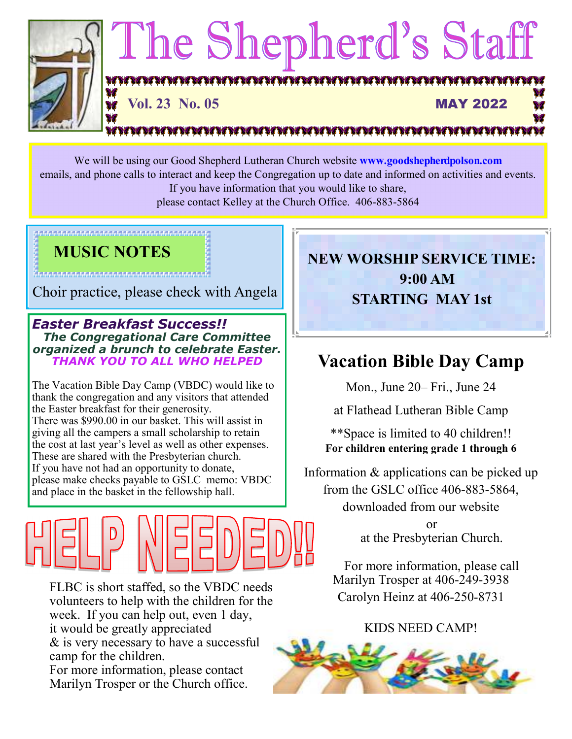

We will be using our Good Shepherd Lutheran Church website **www.goodshepherdpolson.com** emails, and phone calls to interact and keep the Congregation up to date and informed on activities and events. If you have information that you would like to share,

please contact Kelley at the Church Office. 406-883-5864

### **MUSIC NOTES**

kaan na maanan na maanan na maanan na maanan na maanan

Choir practice, please check with Angela

*Easter Breakfast Success!! The Congregational Care Committee organized a brunch to celebrate Easter. THANK YOU TO ALL WHO HELPED* 

The Vacation Bible Day Camp (VBDC) would like to thank the congregation and any visitors that attended the Easter breakfast for their generosity. There was \$990.00 in our basket. This will assist in giving all the campers a small scholarship to retain the cost at last year's level as well as other expenses. These are shared with the Presbyterian church. If you have not had an opportunity to donate, please make checks payable to GSLC memo: VBDC and place in the basket in the fellowship hall.



FLBC is short staffed, so the VBDC needs volunteers to help with the children for the week. If you can help out, even 1 day, it would be greatly appreciated & is very necessary to have a successful camp for the children. For more information, please contact Marilyn Trosper or the Church office.

**NEW WORSHIP SERVICE TIME: 9:00 AM STARTING MAY 1st** 

## **Vacation Bible Day Camp**

Mon., June 20– Fri., June 24

at Flathead Lutheran Bible Camp

\*\*Space is limited to 40 children!! **For children entering grade 1 through 6**

Information & applications can be picked up from the GSLC office 406-883-5864, downloaded from our website

> or at the Presbyterian Church.

For more information, please call Marilyn Trosper at 406-249-3938 Carolyn Heinz at 406-250-8731

### KIDS NEED CAMP!

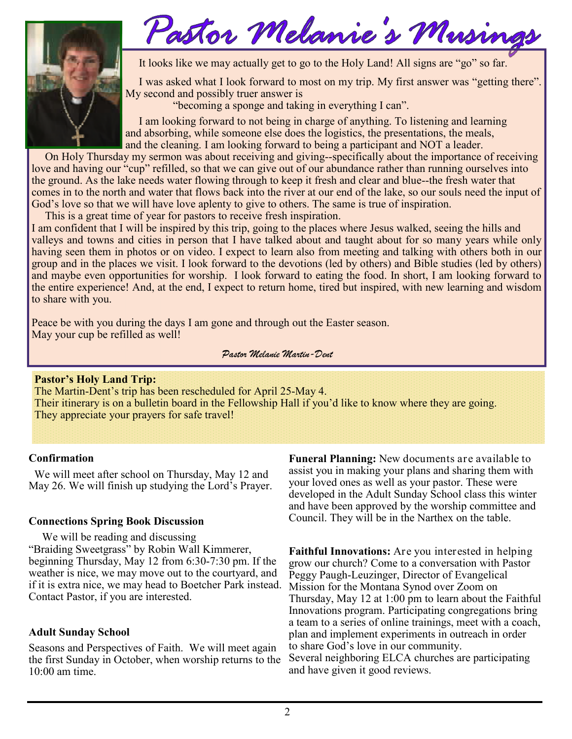

## Pastor Melanie's Musin

It looks like we may actually get to go to the Holy Land! All signs are "go" so far.

 I was asked what I look forward to most on my trip. My first answer was "getting there". My second and possibly truer answer is

"becoming a sponge and taking in everything I can".

 I am looking forward to not being in charge of anything. To listening and learning and absorbing, while someone else does the logistics, the presentations, the meals, and the cleaning. I am looking forward to being a participant and NOT a leader.

 On Holy Thursday my sermon was about receiving and giving--specifically about the importance of receiving love and having our "cup" refilled, so that we can give out of our abundance rather than running ourselves into the ground. As the lake needs water flowing through to keep it fresh and clear and blue--the fresh water that comes in to the north and water that flows back into the river at our end of the lake, so our souls need the input of God's love so that we will have love aplenty to give to others. The same is true of inspiration.

This is a great time of year for pastors to receive fresh inspiration.

I am confident that I will be inspired by this trip, going to the places where Jesus walked, seeing the hills and valleys and towns and cities in person that I have talked about and taught about for so many years while only having seen them in photos or on video. I expect to learn also from meeting and talking with others both in our group and in the places we visit. I look forward to the devotions (led by others) and Bible studies (led by others) and maybe even opportunities for worship. I look forward to eating the food. In short, I am looking forward to the entire experience! And, at the end, I expect to return home, tired but inspired, with new learning and wisdom to share with you.

Peace be with you during the days I am gone and through out the Easter season. May your cup be refilled as well!

*Pastor Melanie Martin-Dent* 

### **Pastor's Holy Land Trip:**

The Martin-Dent's trip has been rescheduled for April 25-May 4. Their itinerary is on a bulletin board in the Fellowship Hall if you'd like to know where they are going. They appreciate your prayers for safe travel!

### **Confirmation**

 We will meet after school on Thursday, May 12 and May 26. We will finish up studying the Lord's Prayer.

### **Connections Spring Book Discussion**

 We will be reading and discussing "Braiding Sweetgrass" by Robin Wall Kimmerer, beginning Thursday, May 12 from 6:30-7:30 pm. If the weather is nice, we may move out to the courtyard, and if it is extra nice, we may head to Boetcher Park instead. Contact Pastor, if you are interested.

### **Adult Sunday School**

Seasons and Perspectives of Faith. We will meet again the first Sunday in October, when worship returns to the 10:00 am time.

**Funeral Planning:** New documents are available to assist you in making your plans and sharing them with your loved ones as well as your pastor. These were developed in the Adult Sunday School class this winter and have been approved by the worship committee and Council. They will be in the Narthex on the table.

**Faithful Innovations:** Are you interested in helping grow our church? Come to a conversation with Pastor Peggy Paugh-Leuzinger, Director of Evangelical Mission for the Montana Synod over Zoom on Thursday, May 12 at 1:00 pm to learn about the Faithful Innovations program. Participating congregations bring a team to a series of online trainings, meet with a coach, plan and implement experiments in outreach in order to share God's love in our community. Several neighboring ELCA churches are participating and have given it good reviews.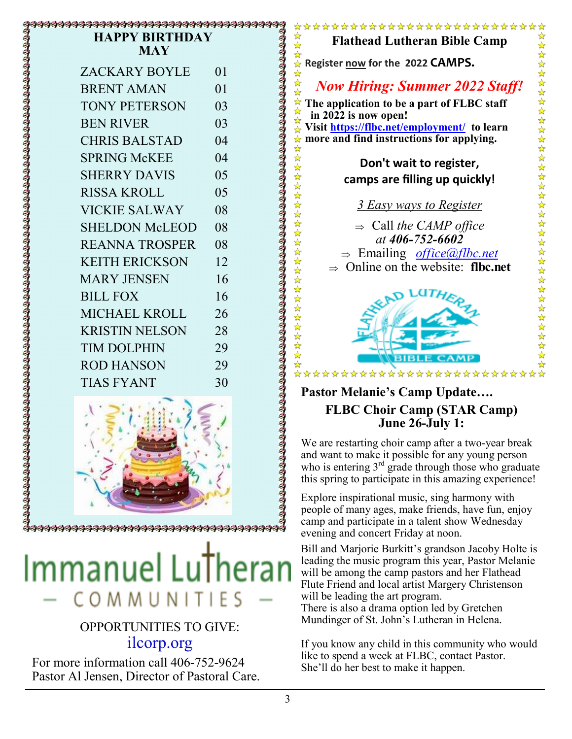### \$\$\$\$\$\$\$\$\$\$\$\$\$\$\$\$\$\$\$\$\$\$\$\$\$\$\$\$\$\$\$\$\$ **HAPPY BIRTHDAY MAY**

| <b>ZACKARY BOYLE</b>  | 01             |
|-----------------------|----------------|
| <b>BRENT AMAN</b>     | 0 <sub>1</sub> |
| <b>TONY PETERSON</b>  | 03             |
| <b>BEN RIVER</b>      | 03             |
| <b>CHRIS BALSTAD</b>  | 04             |
| <b>SPRING McKEE</b>   | 04             |
| <b>SHERRY DAVIS</b>   | 05             |
| <b>RISSA KROLL</b>    | 05             |
| <b>VICKIE SALWAY</b>  | 08             |
| <b>SHELDON McLEOD</b> | 08             |
| <b>REANNA TROSPER</b> | 08             |
| <b>KEITH ERICKSON</b> | 12             |
| <b>MARY JENSEN</b>    | 16             |
| <b>BILL FOX</b>       | 16             |
| <b>MICHAEL KROLL</b>  | 26             |
| <b>KRISTIN NELSON</b> | 28             |
| <b>TIM DOLPHIN</b>    | 29             |
| <b>ROD HANSON</b>     | 29             |
| <b>TIAS FYANT</b>     | 30             |



# Immanuel Lu COMMUNITI

### OPPORTUNITIES TO GIVE: ilcorp.org

For more information call 406-752-9624 Pastor Al Jensen, Director of Pastoral Care.

### \*\*\*\*\*\*\*\*\*\*\*\*\*\*\*\*\*\*\*\*\*\*\*\* **Flathead Lutheran Bible Camp**

\*\*\*\*\*\* **Register now for the 2022 CAMPS.** 

琴琴琴

☆

☆☆☆☆☆☆☆☆☆☆☆☆☆☆☆☆☆☆☆☆☆☆☆☆

*Now Hiring: Summer 2022 Staff!*

**The application to be a part of FLBC staff in 2022 is now open!** 

**Visit https://flbc.net/employment/ to learn more and find instructions for applying.** 

### **Don't wait to register, camps are filling up quickly!**

*3 Easy ways to Register* 

 Call *the CAMP office at 406-752-6602*  Emailing *office@flbc.net*  $\Rightarrow$  Online on the website: **flbc.net** 



### **Pastor Melanie's Camp Update…. FLBC Choir Camp (STAR Camp) June 26-July 1:**

We are restarting choir camp after a two-year break and want to make it possible for any young person who is entering  $3<sup>rd</sup>$  grade through those who graduate this spring to participate in this amazing experience!

Explore inspirational music, sing harmony with people of many ages, make friends, have fun, enjoy camp and participate in a talent show Wednesday evening and concert Friday at noon.

Bill and Marjorie Burkitt's grandson Jacoby Holte is leading the music program this year, Pastor Melanie will be among the camp pastors and her Flathead Flute Friend and local artist Margery Christenson will be leading the art program.

There is also a drama option led by Gretchen Mundinger of St. John's Lutheran in Helena.

If you know any child in this community who would like to spend a week at FLBC, contact Pastor. She'll do her best to make it happen.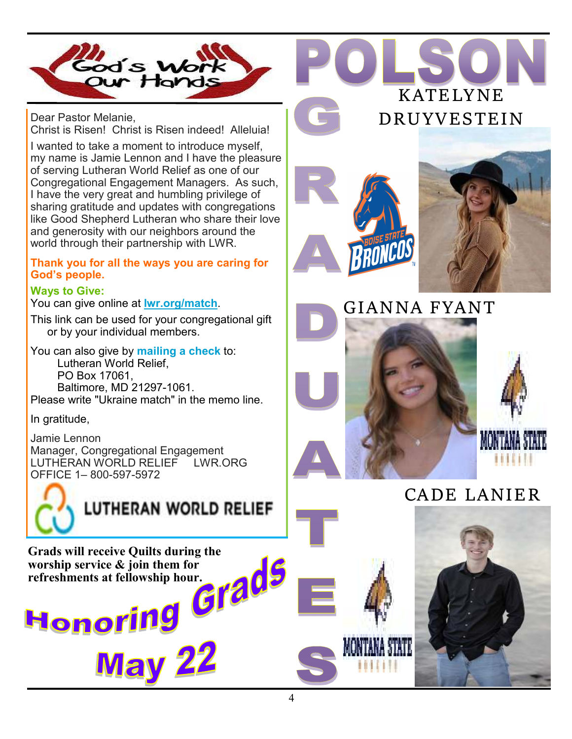

Dear Pastor Melanie, Christ is Risen! Christ is Risen indeed! Alleluia!

I wanted to take a moment to introduce myself, my name is Jamie Lennon and I have the pleasure of serving Lutheran World Relief as one of our Congregational Engagement Managers. As such, I have the very great and humbling privilege of sharing gratitude and updates with congregations like Good Shepherd Lutheran who share their love and generosity with our neighbors around the world through their partnership with LWR.

### **Thank you for all the ways you are caring for God's people.**

### **Ways to Give:**

You can give online at **lwr.org/match**.

This link can be used for your congregational gift or by your individual members.

You can also give by **mailing a check** to: Lutheran World Relief, PO Box 17061, Baltimore, MD 21297-1061. Please write "Ukraine match" in the memo line.

In gratitude,

Jamie Lennon Manager, Congregational Engagement LUTHERAN WORLD RELIEF LWR.ORG OFFICE 1– 800-597-5972



**LUTHERAN WORLD RELIEF** 

**Grads will receive Quilts during the worship service & join them for refreshments at fellowship hour.** 

**KATELYNE DRUYVESTEIN** 







### **CADE LANIER**

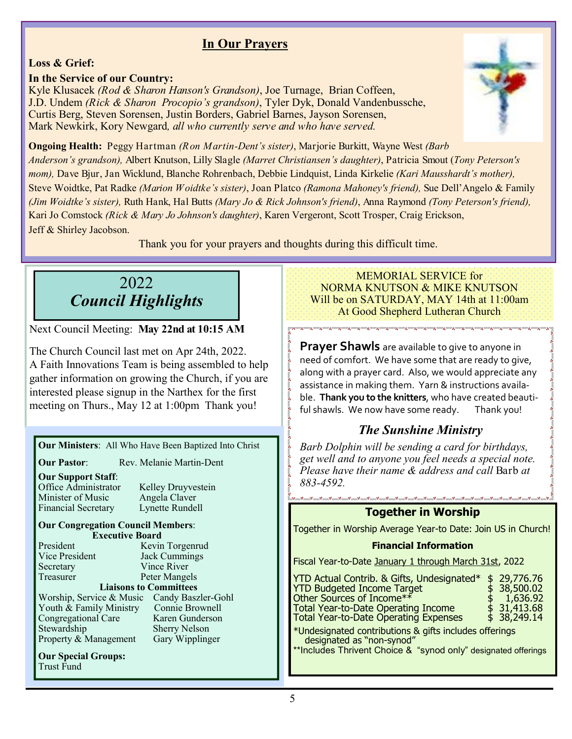### **In Our Prayers**

### **Loss & Grief:**

### **In the Service of our Country:**

Kyle Klusacek *(Rod & Sharon Hanson's Grandson)*, Joe Turnage, Brian Coffeen, J.D. Undem *(Rick & Sharon Procopio's grandson)*, Tyler Dyk, Donald Vandenbussche, Curtis Berg, Steven Sorensen, Justin Borders, Gabriel Barnes, Jayson Sorensen, Mark Newkirk, Kory Newgard*, all who currently serve and who have served.*



**Ongoing Health:** Peggy Hartman *(Ron Martin-Dent's sister)*, Marjorie Burkitt, Wayne West *(Barb Anderson's grandson),* Albert Knutson, Lilly Slagle *(Marret Christiansen's daughter)*, Patricia Smout (*Tony Peterson's mom),* Dave Bjur, Jan Wicklund, Blanche Rohrenbach, Debbie Lindquist, Linda Kirkelie *(Kari Mausshardt's mother),*  Steve Woidtke, Pat Radke *(Marion Woidtke's sister)*, Joan Platco *(Ramona Mahoney's friend),* Sue Dell'Angelo & Family *(Jim Woidtke's sister),* Ruth Hank, Hal Butts *(Mary Jo & Rick Johnson's friend)*, Anna Raymond *(Tony Peterson's friend),*  Kari Jo Comstock *(Rick & Mary Jo Johnson's daughter)*, Karen Vergeront, Scott Trosper, Craig Erickson, Jeff & Shirley Jacobson.

Thank you for your prayers and thoughts during this difficult time.

### 2022 *Council Highlights*

Next Council Meeting: **May 22nd at 10:15 AM**

The Church Council last met on Apr 24th, 2022. A Faith Innovations Team is being assembled to help gather information on growing the Church, if you are interested please signup in the Narthex for the first meeting on Thurs., May 12 at 1:00pm Thank you!

### **Our Ministers**: All Who Have Been Baptized Into Christ

**Our Pastor:** Rev. Melanie Martin-Dent

**Our Support Staff**: Minister of Music Financial Secretary Lynette Rundell

Kelley Druyvestein<br>Angela Claver

### **Our Congregation Council Members**: **Executive Board**<br>**President Kevin**

Vice President Jack Cummings Secretary Vince River<br>Treasurer Peter Mange

Kevin Torgenrud Peter Mangels

### **Liaisons to Committees**

Worship, Service & Music Candy Baszler-Gohl<br>Youth & Family Ministry Connie Brownell Youth & Family Ministry Congregational Care Karen Gunderson Stewardship Sherry Nelson<br>Property & Management Gary Wipplinger Property & Management

**Our Special Groups:** Trust Fund

#### MEMORIAL SERVICE for NORMA KNUTSON & MIKE KNUTSON Will be on SATURDAY, MAY 14th at 11:00am At Good Shepherd Lutheran Church

**Prayer Shawls** are available to give to anyone in need of comfort. We have some that are ready to give, along with a prayer card. Also, we would appreciate any assistance in making them. Yarn & instructions availa‐ ble. **Thank you to the knitters**, who have created beauti‐ ful shawls. We now have some ready. Thank you!

### *The Sunshine Ministry*

*Barb Dolphin will be sending a card for birthdays, get well and to anyone you feel needs a special note. Please have their name & address and call* Barb *at 883-4592.*

### **Together in Worship**

Together in Worship Average Year-to Date: Join US in Church!

### **Financial Information**

Fiscal Year-to-Date January 1 through March 31st, 2022

| YTD Actual Contrib. & Gifts, Undesignated*<br><b>YTD Budgeted Income Target</b><br>Other Sources of Income**<br><b>Total Year-to-Date Operating Income</b><br><b>Total Year-to-Date Operating Expenses</b> | \$29,776.76<br>\$38,500.02<br>1,636.92<br>$$31,413.68$<br>$$38,249.14$ |
|------------------------------------------------------------------------------------------------------------------------------------------------------------------------------------------------------------|------------------------------------------------------------------------|
| *Undesignated contributions & gifts includes offerings<br>designated as "non-synod"<br>**Includes Thrivent Choice & "synod only" designated offerings                                                      |                                                                        |